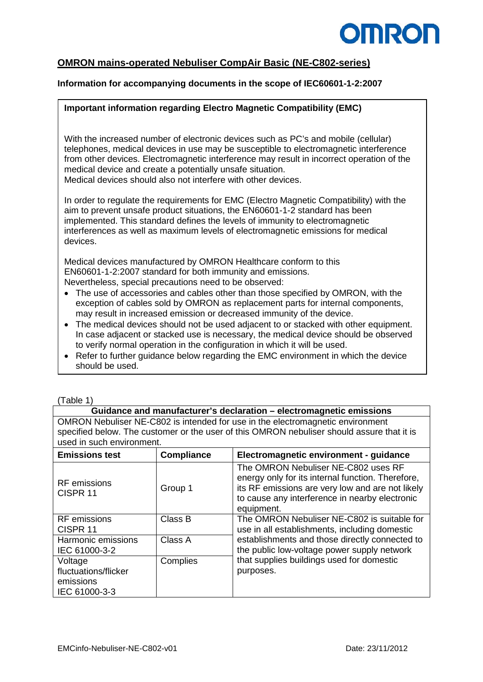

# **OMRON mains-operated Nebuliser CompAir Basic (NE-C802-series)**

## **Information for accompanying documents in the scope of IEC60601-1-2:2007**

## **Important information regarding Electro Magnetic Compatibility (EMC)**

With the increased number of electronic devices such as PC's and mobile (cellular) telephones, medical devices in use may be susceptible to electromagnetic interference from other devices. Electromagnetic interference may result in incorrect operation of the medical device and create a potentially unsafe situation. Medical devices should also not interfere with other devices.

In order to regulate the requirements for EMC (Electro Magnetic Compatibility) with the aim to prevent unsafe product situations, the EN60601-1-2 standard has been implemented. This standard defines the levels of immunity to electromagnetic interferences as well as maximum levels of electromagnetic emissions for medical devices.

Medical devices manufactured by OMRON Healthcare conform to this EN60601-1-2:2007 standard for both immunity and emissions. Nevertheless, special precautions need to be observed:

- The use of accessories and cables other than those specified by OMRON, with the exception of cables sold by OMRON as replacement parts for internal components, may result in increased emission or decreased immunity of the device.
- The medical devices should not be used adjacent to or stacked with other equipment. In case adjacent or stacked use is necessary, the medical device should be observed to verify normal operation in the configuration in which it will be used.
- Refer to further guidance below regarding the EMC environment in which the device should be used.

### (Table 1)

#### **Guidance and manufacturer's declaration – electromagnetic emissions**

OMRON Nebuliser NE-C802 is intended for use in the electromagnetic environment specified below. The customer or the user of this OMRON nebuliser should assure that it is used in such environment.

| <b>Emissions test</b>                      | <b>Compliance</b> | Electromagnetic environment - guidance                                                                                                                                                                       |  |  |
|--------------------------------------------|-------------------|--------------------------------------------------------------------------------------------------------------------------------------------------------------------------------------------------------------|--|--|
| <b>RF</b> emissions<br>CISPR <sub>11</sub> | Group 1           | The OMRON Nebuliser NE-C802 uses RF<br>energy only for its internal function. Therefore,<br>its RF emissions are very low and are not likely<br>to cause any interference in nearby electronic<br>equipment. |  |  |
| <b>RF</b> emissions<br>CISPR <sub>11</sub> | Class B           | The OMRON Nebuliser NE-C802 is suitable for<br>use in all establishments, including domestic                                                                                                                 |  |  |
| Harmonic emissions<br>IEC 61000-3-2        | Class A           | establishments and those directly connected to<br>the public low-voltage power supply network                                                                                                                |  |  |
| Voltage<br>fluctuations/flicker            | Complies          | that supplies buildings used for domestic<br>purposes.                                                                                                                                                       |  |  |
| emissions<br>IEC 61000-3-3                 |                   |                                                                                                                                                                                                              |  |  |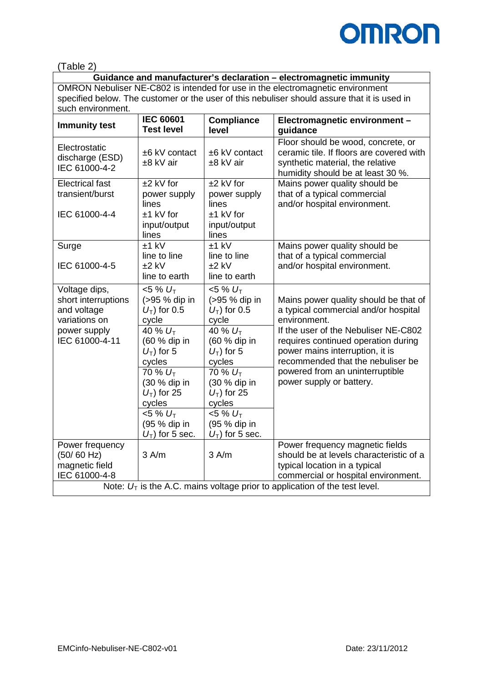

(Table 2)

# **Guidance and manufacturer's declaration – electromagnetic immunity**

OMRON Nebuliser NE-C802 is intended for use in the electromagnetic environment specified below. The customer or the user of this nebuliser should assure that it is used in such environment.

| <b>Immunity test</b>                                                                                   | <b>IEC 60601</b><br><b>Test level</b>                                                                                                                                                                                                   | <b>Compliance</b><br>level                                                                                                                                                                                                                      | Electromagnetic environment -<br>guidance                                                                                                                                                                                                                                                                           |
|--------------------------------------------------------------------------------------------------------|-----------------------------------------------------------------------------------------------------------------------------------------------------------------------------------------------------------------------------------------|-------------------------------------------------------------------------------------------------------------------------------------------------------------------------------------------------------------------------------------------------|---------------------------------------------------------------------------------------------------------------------------------------------------------------------------------------------------------------------------------------------------------------------------------------------------------------------|
| Electrostatic<br>discharge (ESD)<br>IEC 61000-4-2                                                      | ±6 kV contact<br>±8 kV air                                                                                                                                                                                                              | ±6 kV contact<br>±8 kV air                                                                                                                                                                                                                      | Floor should be wood, concrete, or<br>ceramic tile. If floors are covered with<br>synthetic material, the relative<br>humidity should be at least 30 %.                                                                                                                                                             |
| <b>Electrical fast</b><br>transient/burst<br>IEC 61000-4-4                                             | $±2$ kV for<br>power supply<br>lines<br>$±1$ kV for<br>input/output<br>lines                                                                                                                                                            | $±2$ kV for<br>power supply<br>lines<br>$±1$ kV for<br>input/output<br>lines                                                                                                                                                                    | Mains power quality should be<br>that of a typical commercial<br>and/or hospital environment.                                                                                                                                                                                                                       |
| Surge<br>IEC 61000-4-5                                                                                 | $±1$ kV<br>line to line<br>$±2$ kV<br>line to earth                                                                                                                                                                                     | $±1$ kV<br>line to line<br>$±2$ kV<br>line to earth                                                                                                                                                                                             | Mains power quality should be<br>that of a typical commercial<br>and/or hospital environment.                                                                                                                                                                                                                       |
| Voltage dips,<br>short interruptions<br>and voltage<br>variations on<br>power supply<br>IEC 61000-4-11 | $< 5 \% U_{\tau}$<br>(>95 % dip in<br>$U_T$ ) for 0.5<br>cycle<br>40 % $U_T$<br>(60 % dip in<br>$U_T$ ) for 5<br>cycles<br>70 % $U_T$<br>(30 % dip in<br>$U_T$ ) for 25<br>cycles<br>$< 5 \% U_T$<br>(95 % dip in<br>$U_T$ ) for 5 sec. | $5\% U_{T}$<br>(>95 % dip in<br>$U_T$ ) for 0.5<br>cycle<br>40 % $U_T$<br>(60 % dip in<br>$U_T$ ) for 5<br>cycles<br>$70 \% U_{T}$<br>(30 % dip in<br>$U_T$ ) for 25<br>cycles<br>$< 5 \% U_T$<br>(95 % dip in<br>$U$ <sub>T</sub> ) for 5 sec. | Mains power quality should be that of<br>a typical commercial and/or hospital<br>environment.<br>If the user of the Nebuliser NE-C802<br>requires continued operation during<br>power mains interruption, it is<br>recommended that the nebuliser be<br>powered from an uninterruptible<br>power supply or battery. |
| Power frequency<br>(50/60 Hz)<br>magnetic field<br>IEC 61000-4-8                                       | 3 A/m                                                                                                                                                                                                                                   | 3 A/m                                                                                                                                                                                                                                           | Power frequency magnetic fields<br>should be at levels characteristic of a<br>typical location in a typical<br>commercial or hospital environment.<br>Note: $U_T$ is the A.C. mains voltage prior to application of the test level.                                                                                 |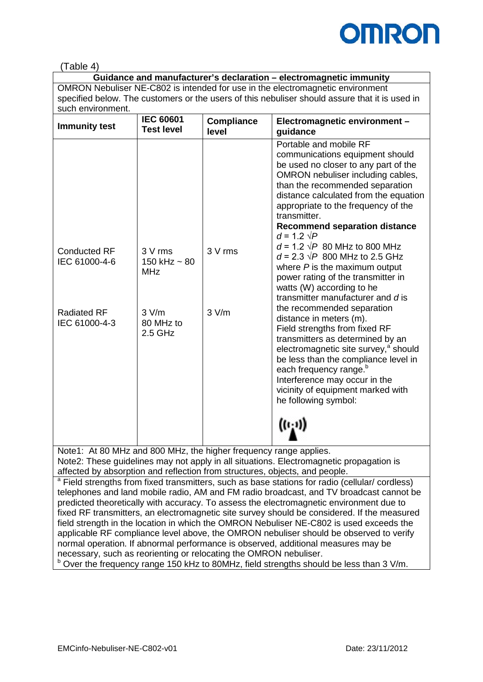

 $(Tahla A)$ 

| <b>H</b> and the                                                                                                                                                                                                                                                                                                                                                                                                                                                                                                                                                                     |                                            |                            |                                                                                                                                                                                                                                                                                                                                                                                                                                                                                                                                |  |  |  |
|--------------------------------------------------------------------------------------------------------------------------------------------------------------------------------------------------------------------------------------------------------------------------------------------------------------------------------------------------------------------------------------------------------------------------------------------------------------------------------------------------------------------------------------------------------------------------------------|--------------------------------------------|----------------------------|--------------------------------------------------------------------------------------------------------------------------------------------------------------------------------------------------------------------------------------------------------------------------------------------------------------------------------------------------------------------------------------------------------------------------------------------------------------------------------------------------------------------------------|--|--|--|
|                                                                                                                                                                                                                                                                                                                                                                                                                                                                                                                                                                                      |                                            |                            | Guidance and manufacturer's declaration - electromagnetic immunity                                                                                                                                                                                                                                                                                                                                                                                                                                                             |  |  |  |
| OMRON Nebuliser NE-C802 is intended for use in the electromagnetic environment                                                                                                                                                                                                                                                                                                                                                                                                                                                                                                       |                                            |                            |                                                                                                                                                                                                                                                                                                                                                                                                                                                                                                                                |  |  |  |
|                                                                                                                                                                                                                                                                                                                                                                                                                                                                                                                                                                                      |                                            |                            | specified below. The customers or the users of this nebuliser should assure that it is used in                                                                                                                                                                                                                                                                                                                                                                                                                                 |  |  |  |
| such environment.                                                                                                                                                                                                                                                                                                                                                                                                                                                                                                                                                                    |                                            |                            |                                                                                                                                                                                                                                                                                                                                                                                                                                                                                                                                |  |  |  |
| <b>Immunity test</b>                                                                                                                                                                                                                                                                                                                                                                                                                                                                                                                                                                 | <b>IEC 60601</b><br><b>Test level</b>      | <b>Compliance</b><br>level | Electromagnetic environment -<br>guidance                                                                                                                                                                                                                                                                                                                                                                                                                                                                                      |  |  |  |
| <b>Conducted RF</b><br>IEC 61000-4-6                                                                                                                                                                                                                                                                                                                                                                                                                                                                                                                                                 | 3 V rms<br>150 kHz $\sim$ 80<br><b>MHz</b> | 3 V rms                    | Portable and mobile RF<br>communications equipment should<br>be used no closer to any part of the<br>OMRON nebuliser including cables,<br>than the recommended separation<br>distance calculated from the equation<br>appropriate to the frequency of the<br>transmitter.<br><b>Recommend separation distance</b><br>$d = 1.2 \sqrt{P}$<br>$d = 1.2 \sqrt{P}$ 80 MHz to 800 MHz<br>$d = 2.3 \sqrt{P}$ 800 MHz to 2.5 GHz<br>where $P$ is the maximum output<br>power rating of the transmitter in<br>watts (W) according to he |  |  |  |
| <b>Radiated RF</b><br>IEC 61000-4-3                                                                                                                                                                                                                                                                                                                                                                                                                                                                                                                                                  | 3 V/m<br>80 MHz to<br>$2.5$ GHz            | 3 V/m                      | transmitter manufacturer and d is<br>the recommended separation<br>distance in meters (m).<br>Field strengths from fixed RF<br>transmitters as determined by an<br>electromagnetic site survey, <sup>a</sup> should<br>be less than the compliance level in<br>each frequency range. <sup>b</sup><br>Interference may occur in the<br>vicinity of equipment marked with<br>he following symbol:<br>$((\iota, \iota))$                                                                                                          |  |  |  |
| Note1: At 80 MHz and 800 MHz, the higher frequency range applies.                                                                                                                                                                                                                                                                                                                                                                                                                                                                                                                    |                                            |                            |                                                                                                                                                                                                                                                                                                                                                                                                                                                                                                                                |  |  |  |
|                                                                                                                                                                                                                                                                                                                                                                                                                                                                                                                                                                                      |                                            |                            | Note2: These guidelines may not apply in all situations. Electromagnetic propagation is                                                                                                                                                                                                                                                                                                                                                                                                                                        |  |  |  |
| affected by absorption and reflection from structures, objects, and people.                                                                                                                                                                                                                                                                                                                                                                                                                                                                                                          |                                            |                            |                                                                                                                                                                                                                                                                                                                                                                                                                                                                                                                                |  |  |  |
| <sup>a</sup> Field strengths from fixed transmitters, such as base stations for radio (cellular/ cordless)<br>telephones and land mobile radio, AM and FM radio broadcast, and TV broadcast cannot be<br>predicted theoretically with accuracy. To assess the electromagnetic environment due to<br>fixed RF transmitters, an electromagnetic site survey should be considered. If the measured<br>field strength in the location in which the OMRON Nebuliser NE-C802 is used exceeds the<br>applicable RF compliance level above, the OMRON nebuliser should be observed to verify |                                            |                            |                                                                                                                                                                                                                                                                                                                                                                                                                                                                                                                                |  |  |  |

normal operation. If abnormal performance is observed, additional measures may be necessary, such as reorienting or relocating the OMRON nebuliser.<br> **b** Over the frequency range 150 kHz to 80MHz, field strengths should be less than 3 V/m.